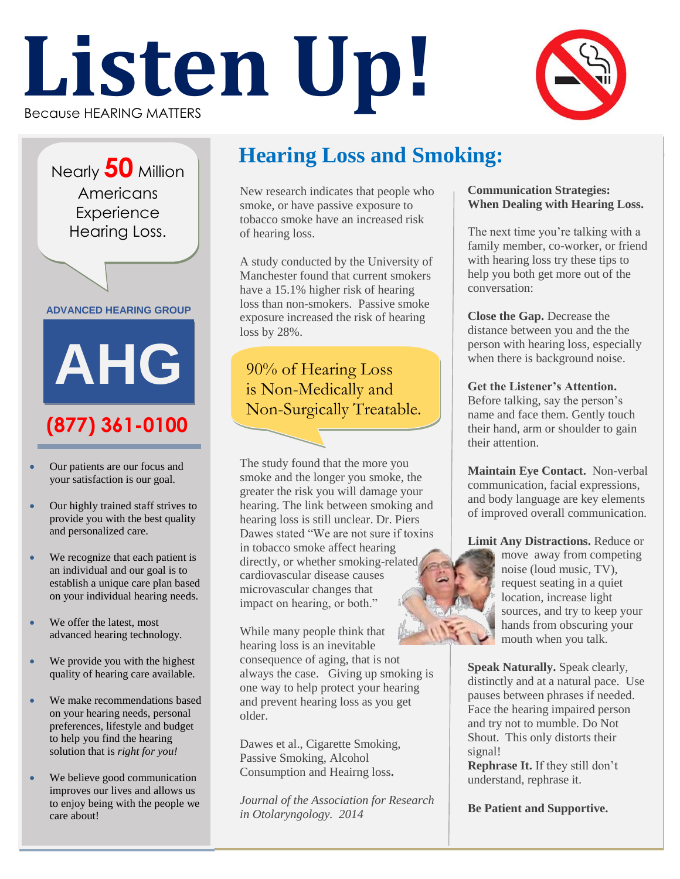# Because HEARING MATTERS **Listen Up!**



Nearly **50** Million Americans **Experience** Hearing Loss.

**ADVANCED HEARING GROUP**

## **(877) 361-0100 AHG**

- Our patients are our focus and your satisfaction is our goal.
- Our highly trained staff strives to provide you with the best quality and personalized care.
- We recognize that each patient is an individual and our goal is to establish a unique care plan based on your individual hearing needs.
- We offer the latest, most advanced hearing technology.
- We provide you with the highest quality of hearing care available.
- We make recommendations based on your hearing needs, personal preferences, lifestyle and budget to help you find the hearing solution that is *right for you!*
- We believe good communication improves our lives and allows us to enjoy being with the people we care about!

#### **Hearing Loss and Smoking:**

New research indicates that people who smoke, or have passive exposure to tobacco smoke have an increased risk of hearing loss.

A study conducted by the University of Manchester found that current smokers have a 15.1% higher risk of hearing loss than non-smokers. Passive smoke exposure increased the risk of hearing loss by 28%.

90% of Hearing Loss is Non-Medically and Non-Surgically Treatable.

The study found that the more you smoke and the longer you smoke, the greater the risk you will damage your hearing. The link between smoking and hearing loss is still unclear. Dr. Piers Dawes stated "We are not sure if toxins in tobacco smoke affect hearing directly, or whether smoking-related cardiovascular disease causes microvascular changes that impact on hearing, or both."

While many people think that hearing loss is an inevitable consequence of aging, that is not always the case. Giving up smoking is one way to help protect your hearing and prevent hearing loss as you get older.

Dawes et al., Cigarette Smoking, Passive Smoking, Alcohol Consumption and Heairng loss**.** 

*Journal of the Association for Research in Otolaryngology. 2014*

#### **Communication Strategies: When Dealing with Hearing Loss.**

The next time you're talking with a family member, co-worker, or friend with hearing loss try these tips to help you both get more out of the conversation:

**Close the Gap.** Decrease the distance between you and the the person with hearing loss, especially when there is background noise.

**Get the Listener's Attention.** Before talking, say the person's name and face them. Gently touch their hand, arm or shoulder to gain their attention.

**Maintain Eye Contact.** Non-verbal communication, facial expressions, and body language are key elements of improved overall communication.

**Limit Any Distractions.** Reduce or move away from competing noise (loud music, TV), request seating in a quiet location, increase light sources, and try to keep your hands from obscuring your mouth when you talk.

**Speak Naturally.** Speak clearly, distinctly and at a natural pace. Use pauses between phrases if needed. Face the hearing impaired person and try not to mumble. Do Not Shout. This only distorts their signal!

**Rephrase It.** If they still don't understand, rephrase it.

**Be Patient and Supportive.**